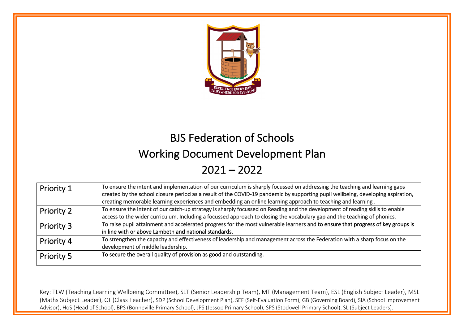

# BJS Federation of Schools

## Working Document Development Plan

 $2021 - 2022$ 

| Priority 1        | To ensure the intent and implementation of our curriculum is sharply focussed on addressing the teaching and learning gaps       |
|-------------------|----------------------------------------------------------------------------------------------------------------------------------|
|                   | created by the school closure period as a result of the COVID-19 pandemic by supporting pupil wellbeing, developing aspiration,  |
|                   | creating memorable learning experiences and embedding an online learning approach to teaching and learning.                      |
| <b>Priority 2</b> | To ensure the intent of our catch-up strategy is sharply focussed on Reading and the development of reading skills to enable     |
|                   | access to the wider curriculum. Including a focussed approach to closing the vocabulary gap and the teaching of phonics.         |
| <b>Priority 3</b> | To raise pupil attainment and accelerated progress for the most vulnerable learners and to ensure that progress of key groups is |
|                   | in line with or above Lambeth and national standards.                                                                            |
| Priority 4        | To strengthen the capacity and effectiveness of leadership and management across the Federation with a sharp focus on the        |
|                   | development of middle leadership.                                                                                                |
| <b>Priority 5</b> | To secure the overall quality of provision as good and outstanding.                                                              |
|                   |                                                                                                                                  |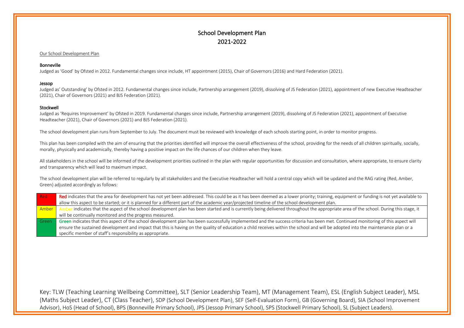## School Development Plan 2021-2022

I

#### Our School Development Plan

#### Bonneville

Judged as 'Good' by Ofsted in 2012. Fundamental changes since include, HT appointment (2015), Chair of Governors (2016) and Hard Federation (2021).

#### Jessop

Judged as' Outstanding' by Ofsted in 2012. Fundamental changes since include, Partnership arrangement (2019), dissolving of JS Federation (2021), appointment of new Executive Headteacher (2021), Chair of Governors (2021) and BJS Federation (2021).

#### Stockwell

Judged as 'Requires Improvement' by Ofsted in 2019. Fundamental changes since include, Partnership arrangement (2019), dissolving of JS Federation (2021), appointment of Executive Headteacher (2021), Chair of Governors (2021) and BJS Federation (2021).

The school development plan runs from September to July. The document must be reviewed with knowledge of each schools starting point, in order to monitor progress.

This plan has been compiled with the aim of ensuring that the priorities identified will improve the overall effectiveness of the school, providing for the needs of all children spiritually, socially, morally, physically and academically, thereby having a positive impact on the life chances of our children when they leave.

All stakeholders in the school will be informed of the development priorities outlined in the plan with regular opportunities for discussion and consultation, where appropriate, to ensure clarity and transparency which will lead to maximum impact.

The school development plan will be referred to regularly by all stakeholders and the Executive Headteacher will hold a central copy which will be updated and the RAG rating (Red, Amber, Green) adjusted accordingly as follows:

| - Red | Red indicates that the area for development has not yet been addressed. This could be as it has been deemed as a lower priority; training, equipment or funding is not yet available to |
|-------|-----------------------------------------------------------------------------------------------------------------------------------------------------------------------------------------|
|       | allow this aspect to be started; or it is planned for a different part of the academic year/projected timeline of the school development plan.                                          |
| Amber | r indicates that the aspect of the school development plan has been started and is currently being delivered throughout the appropriate area of the school. During this stage, it       |
|       | will be continually monitored and the progress measured.                                                                                                                                |
| Green | Green indicates that this aspect of the school development plan has been successfully implemented and the success criteria has been met. Continued monitoring of this aspect will       |
|       | ensure the sustained development and impact that this is having on the quality of education a child receives within the school and will be adopted into the maintenance plan or a       |
|       | specific member of staff's responsibility as appropriate.                                                                                                                               |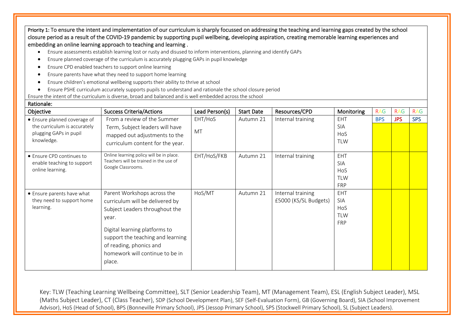Priority 1: To ensure the intent and implementation of our curriculum is sharply focussed on addressing the teaching and learning gaps created by the school closure period as a result of the COVID-19 pandemic by supporting pupil wellbeing, developing aspiration, creating memorable learning experiences and embedding an online learning approach to teaching and learning .

- Ensure assessments establish learning lost or rusty and disused to inform interventions, planning and identify GAPs
- Ensure planned coverage of the curriculum is accurately plugging GAPs in pupil knowledge
- Ensure CPD enabled teachers to support online learning
- Ensure parents have what they need to support home learning
- Ensure children's emotional wellbeing supports their ability to thrive at school
- Ensure PSHE curriculum accurately supports pupils to understand and rationale the school closure period

Ensure the intent of the curriculum is diverse, broad and balanced and is well embedded across the school

| Objective                    | <b>Success Criteria/Actions</b>                                                                                                            | Lead Person(s) | <b>Start Date</b> | Resources/CPD         | Monitoring | <b>RAG</b> | <b>RAG</b> | <b>RAG</b> |
|------------------------------|--------------------------------------------------------------------------------------------------------------------------------------------|----------------|-------------------|-----------------------|------------|------------|------------|------------|
| • Ensure planned coverage of | From a review of the Summer                                                                                                                | EHT/HoS        | Autumn 21         | Internal training     | EHT        | <b>BPS</b> | <b>JPS</b> | <b>SPS</b> |
| the curriculum is accurately | Term, Subject leaders will have                                                                                                            |                |                   |                       | <b>SIA</b> |            |            |            |
| plugging GAPs in pupil       | mapped out adjustments to the                                                                                                              | MT             |                   |                       | HoS        |            |            |            |
| knowledge.                   | curriculum content for the year.                                                                                                           |                |                   |                       | <b>TLW</b> |            |            |            |
| • Ensure CPD continues to    | Online learning policy will be in place.                                                                                                   | EHT/HoS/FKB    | Autumn 21         | Internal training     | EHT        |            |            |            |
| enable teaching to support   | Teachers will be trained in the use of<br>Google Classrooms.                                                                               |                |                   |                       | <b>SIA</b> |            |            |            |
| online learning.             |                                                                                                                                            |                |                   |                       | HoS        |            |            |            |
|                              |                                                                                                                                            |                |                   |                       | <b>TLW</b> |            |            |            |
|                              |                                                                                                                                            |                |                   |                       | <b>FRP</b> |            |            |            |
| • Ensure parents have what   | Parent Workshops across the                                                                                                                | HoS/MT         | Autumn 21         | Internal training     | <b>EHT</b> |            |            |            |
| they need to support home    | curriculum will be delivered by                                                                                                            |                |                   | £5000 (KS/SL Budgets) | <b>SIA</b> |            |            |            |
| learning.                    | Subject Leaders throughout the                                                                                                             |                |                   |                       | HoS        |            |            |            |
|                              | year.                                                                                                                                      |                |                   |                       | <b>TLW</b> |            |            |            |
|                              | Digital learning platforms to<br>support the teaching and learning<br>of reading, phonics and<br>homework will continue to be in<br>place. |                |                   |                       | <b>FRP</b> |            |            |            |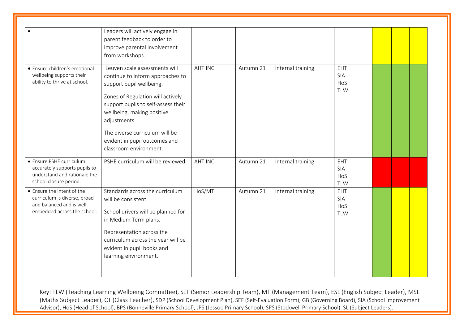|                                                                                                                       | Leaders will actively engage in<br>parent feedback to order to<br>improve parental involvement<br>from workshops.                                                                                                                                                                                                    |                |           |                   |                                 |  |  |
|-----------------------------------------------------------------------------------------------------------------------|----------------------------------------------------------------------------------------------------------------------------------------------------------------------------------------------------------------------------------------------------------------------------------------------------------------------|----------------|-----------|-------------------|---------------------------------|--|--|
| • Ensure children's emotional<br>wellbeing supports their<br>ability to thrive at school.                             | Leuven scale assessments will<br>continue to inform approaches to<br>support pupil wellbeing.<br>Zones of Regulation will actively<br>support pupils to self-assess their<br>wellbeing, making positive<br>adjustments.<br>The diverse curriculum will be<br>evident in pupil outcomes and<br>classroom environment. | <b>AHT INC</b> | Autumn 21 | Internal training | EHT<br>SIA<br>HoS<br><b>TLW</b> |  |  |
| • Ensure PSHE curriculum<br>accurately supports pupils to<br>understand and rationale the<br>school closure period.   | PSHE curriculum will be reviewed.                                                                                                                                                                                                                                                                                    | <b>AHT INC</b> | Autumn 21 | Internal training | EHT<br>SIA<br>HoS<br><b>TLW</b> |  |  |
| • Ensure the intent of the<br>curriculum is diverse, broad<br>and balanced and is well<br>embedded across the school. | Standards across the curriculum<br>will be consistent.<br>School drivers will be planned for<br>in Medium Term plans.<br>Representation across the<br>curriculum across the year will be<br>evident in pupil books and<br>learning environment.                                                                      | HoS/MT         | Autumn 21 | Internal training | EHT<br>SIA<br>HoS<br><b>TLW</b> |  |  |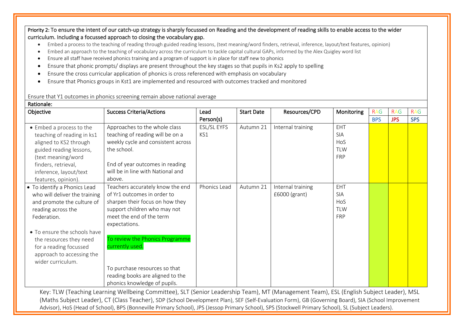Priority 2: To ensure the intent of our catch-up strategy is sharply focussed on Reading and the development of reading skills to enable access to the wider curriculum. Including a focussed approach to closing the vocabulary gap.

- Embed a process to the teaching of reading through guided reading lessons, (text meaning/word finders, retrieval, inference, layout/text features, opinion)
- Embed an approach to the teaching of vocabulary across the curriculum to tackle capital cultural GAPs, informed by the Alex Quigley word list
- Ensure all staff have received phonics training and a program of support is in place for staff new to phonics
- Ensure that phonic prompts/ displays are present throughout the key stages so that pupils in Ks2 apply to spelling
- Ensure the cross curricular application of phonics is cross referenced with emphasis on vocabulary
- Ensure that Phonics groups in Kst1 are implemented and resourced with outcomes tracked and monitored

Ensure that Y1 outcomes in phonics screening remain above national average

Rationale:

| nauvuale.                                                                                                                                                                                                                                                               |                                                                                                                                                                                                                                                                                                                                            |                    |                   |                                    |                                                      |            |            |            |
|-------------------------------------------------------------------------------------------------------------------------------------------------------------------------------------------------------------------------------------------------------------------------|--------------------------------------------------------------------------------------------------------------------------------------------------------------------------------------------------------------------------------------------------------------------------------------------------------------------------------------------|--------------------|-------------------|------------------------------------|------------------------------------------------------|------------|------------|------------|
| Objective                                                                                                                                                                                                                                                               | <b>Success Criteria/Actions</b>                                                                                                                                                                                                                                                                                                            | Lead               | <b>Start Date</b> | Resources/CPD                      | Monitoring                                           | <b>RAG</b> | <b>RAG</b> | <b>RAG</b> |
|                                                                                                                                                                                                                                                                         |                                                                                                                                                                                                                                                                                                                                            | Person(s)          |                   |                                    |                                                      | <b>BPS</b> | <b>JPS</b> | <b>SPS</b> |
| • Embed a process to the<br>teaching of reading in ks1<br>aligned to KS2 through<br>guided reading lessons,<br>(text meaning/word<br>finders, retrieval,<br>inference, layout/text<br>features, opinion).                                                               | Approaches to the whole class<br>teaching of reading will be on a<br>weekly cycle and consistent across<br>the school.<br>End of year outcomes in reading<br>will be in line with National and<br>above.                                                                                                                                   | ESL/SL EYFS<br>KS1 | Autumn 21         | Internal training                  | EHT<br><b>SIA</b><br>HoS<br><b>TLW</b><br><b>FRP</b> |            |            |            |
| • To identify a Phonics Lead<br>who will deliver the training<br>and promote the culture of<br>reading across the<br>Federation.<br>• To ensure the schools have<br>the resources they need<br>for a reading focussed<br>approach to accessing the<br>wider curriculum. | Teachers accurately know the end<br>of Yr1 outcomes in order to<br>sharpen their focus on how they<br>support children who may not<br>meet the end of the term<br>expectations.<br>To review the Phonics Programme<br>currently used.<br>To purchase resources so that<br>reading books are aligned to the<br>phonics knowledge of pupils. | Phonics Lead       | Autumn 21         | Internal training<br>£6000 (grant) | EHT<br><b>SIA</b><br>HoS<br><b>TLW</b><br><b>FRP</b> |            |            |            |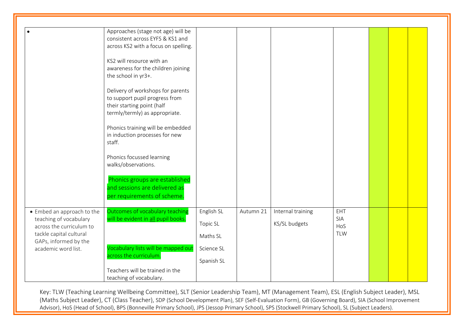|                                                                                                                                                             | Approaches (stage not age) will be<br>consistent across EYFS & KS1 and<br>across KS2 with a focus on spelling.<br>KS2 will resource with an<br>awareness for the children joining<br>the school in yr3+.<br>Delivery of workshops for parents<br>to support pupil progress from<br>their starting point (half<br>termly/termly) as appropriate.<br>Phonics training will be embedded<br>in induction processes for new<br>staff.<br>Phonics focussed learning<br>walks/observations.<br>Phonics groups are established |                                                  |           |                                    |                                 |  |  |
|-------------------------------------------------------------------------------------------------------------------------------------------------------------|------------------------------------------------------------------------------------------------------------------------------------------------------------------------------------------------------------------------------------------------------------------------------------------------------------------------------------------------------------------------------------------------------------------------------------------------------------------------------------------------------------------------|--------------------------------------------------|-----------|------------------------------------|---------------------------------|--|--|
| • Embed an approach to the<br>teaching of vocabulary<br>across the curriculum to<br>tackle capital cultural<br>GAPs, informed by the<br>academic word list. | and sessions are delivered as<br>per requirements of scheme.<br>Outcomes of vocabulary teaching<br>will be evident in all pupil books.<br>Vocabulary lists will be mapped out                                                                                                                                                                                                                                                                                                                                          | English SL<br>Topic SL<br>Maths SL<br>Science SL | Autumn 21 | Internal training<br>KS/SL budgets | EHT<br>SIA<br>HoS<br><b>TLW</b> |  |  |
|                                                                                                                                                             | across the curriculum.<br>Teachers will be trained in the<br>teaching of vocabulary.                                                                                                                                                                                                                                                                                                                                                                                                                                   | Spanish SL                                       |           |                                    |                                 |  |  |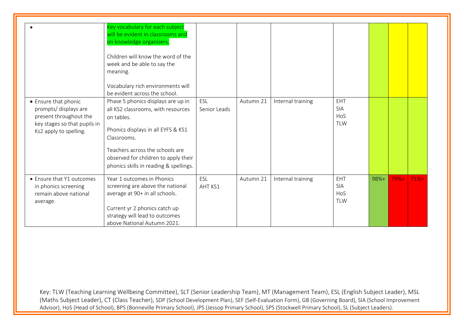|                                                                                                                                   | Key vocabulary for each subject<br>will be evident in classrooms and<br>on knowledge organisers.<br>Children will know the word of the<br>week and be able to say the<br>meaning.<br>Vocabulary rich environments will<br>be evident across the school.          |                     |           |                   |                                               |      |        |         |
|-----------------------------------------------------------------------------------------------------------------------------------|------------------------------------------------------------------------------------------------------------------------------------------------------------------------------------------------------------------------------------------------------------------|---------------------|-----------|-------------------|-----------------------------------------------|------|--------|---------|
| • Ensure that phonic<br>prompts/ displays are<br>present throughout the<br>key stages so that pupils in<br>Ks2 apply to spelling. | Phase 5 phonics displays are up in<br>all KS2 classrooms, with resources<br>on tables.<br>Phonics displays in all EYFS & KS1<br>Classrooms.<br>Teachers across the schools are<br>observed for children to apply their<br>phonics skills in reading & spellings. | ESL<br>Senior Leads | Autumn 21 | Internal training | EHT<br><b>SIA</b><br><b>HoS</b><br><b>TLW</b> |      |        |         |
| • Ensure that Y1 outcomes<br>in phonics screening<br>remain above national<br>average.                                            | Year 1 outcomes in Phonics<br>screening are above the national<br>average at 90+ in all schools.<br>Current yr 2 phonics catch up<br>strategy will lead to outcomes<br>above National Autumn 2021.                                                               | ESL<br>AHT KS1      | Autumn 21 | Internal training | EHT<br>SIA<br>HoS<br><b>TLW</b>               | 98%+ | $79%+$ | $71% +$ |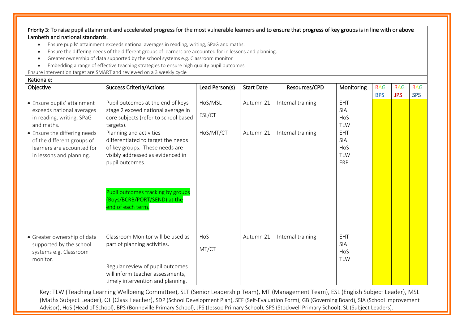Priority 3: To raise pupil attainment and accelerated progress for the most vulnerable learners and to ensure that progress of key groups is in line with or above Lambeth and national standards.

- Ensure pupils' attainment exceeds national averages in reading, writing, SPaG and maths.
- Ensure the differing needs of the different groups of learners are accounted for in lessons and planning.
- Greater ownership of data supported by the school systems e.g. Classroom monitor
- Embedding a range of effective teaching strategies to ensure high quality pupil outcomes

Ensure intervention target are SMART and reviewed on a 3 weekly cycle

#### Rationale: Objective Success Criteria/Actions Lead Person(s) Start Date Resources/CPD Monitoring RAG RAG RAG RAG RAG RAG BPS JPS SPS • Ensure pupils' attainment exceeds national averages in reading, writing, SPaG and maths. Pupil outcomes at the end of keys stage 2 exceed national average in core subjects (refer to school based targets). HoS/MSL ESL/CT Autumn 21 | Internal training | EHT SIA **HoS** TLW • Ensure the differing needs of the different groups of learners are accounted for in lessons and planning. Planning and activities differentiated to target the needs of key groups. These needs are visibly addressed as evidenced in pupil outcomes. Pupil outcomes tracking by groups (Boys/BCRB/PORT/SEND) at the end of each term.  $H$ oS/MT/CT  $\parallel$  Autumn 21  $\parallel$  Internal training  $\parallel$  EHT SIA HoS TI W FRP • Greater ownership of data supported by the school systems e.g. Classroom monitor. Classroom Monitor will be used as part of planning activities. Regular review of pupil outcomes will inform teacher assessments. timely intervention and planning. HoS MT/CT Autumn 21 | Internal training | EHT SIA **Ho<sub>S</sub>** TLW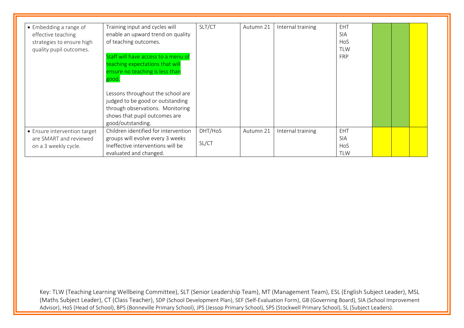| • Embedding a range of<br>effective teaching<br>strategies to ensure high<br>quality pupil outcomes. | Training input and cycles will<br>enable an upward trend on quality<br>of teaching outcomes.<br>Staff will have access to a menu of<br>teaching expectations that will<br>ensure no teaching is less than<br>good.<br>Lessons throughout the school are<br>judged to be good or outstanding | SLT/CT  | Autumn 21 | Internal training | EHT<br><b>SIA</b><br><b>HoS</b><br><b>TLW</b><br><b>FRP</b> |  |  |
|------------------------------------------------------------------------------------------------------|---------------------------------------------------------------------------------------------------------------------------------------------------------------------------------------------------------------------------------------------------------------------------------------------|---------|-----------|-------------------|-------------------------------------------------------------|--|--|
|                                                                                                      | through observations. Monitoring<br>shows that pupil outcomes are<br>good/outstanding.                                                                                                                                                                                                      |         |           |                   |                                                             |  |  |
| • Ensure intervention target<br>are SMART and reviewed                                               | Children identified for intervention<br>groups will evolve every 3 weeks                                                                                                                                                                                                                    | DHT/HoS | Autumn 21 | Internal training | EHT<br><b>SIA</b>                                           |  |  |
| on a 3 weekly cycle.                                                                                 | Ineffective interventions will be<br>evaluated and changed.                                                                                                                                                                                                                                 | SL/CT   |           |                   | <b>HoS</b><br><b>TLW</b>                                    |  |  |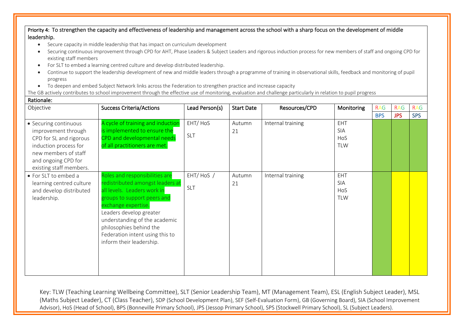Priority 4: To strengthen the capacity and effectiveness of leadership and management across the school with a sharp focus on the development of middle leadership.

- Secure capacity in middle leadership that has impact on curriculum development
- Securing continuous improvement through CPD for AHT, Phase Leaders & Subject Leaders and rigorous induction process for new members of staff and ongoing CPD for existing staff members
- For SLT to embed a learning centred culture and develop distributed leadership.
- Continue to support the leadership development of new and middle leaders through a programme of training in observational skills, feedback and monitoring of pupil progress
- To deepen and embed Subject Network links across the Federation to strengthen practice and increase capacity

The GB actively contributes to school improvement through the effective use of monitoring, evaluation and challenge particularly in relation to pupil progress Rationale:

| Objective                | <b>Success Criteria/Actions</b>   | Lead Person(s) | <b>Start Date</b> | Resources/CPD     | Monitoring | <b>RAG</b> | <b>RAG</b> | <b>RAG</b> |
|--------------------------|-----------------------------------|----------------|-------------------|-------------------|------------|------------|------------|------------|
|                          |                                   |                |                   |                   |            | <b>BPS</b> | <b>JPS</b> | <b>SPS</b> |
| • Securing continuous    | A cycle of training and induction | EHT/HoS        | Autumn            | Internal training | <b>EHT</b> |            |            |            |
| improvement through      | is implemented to ensure the      |                | 21                |                   | <b>SIA</b> |            |            |            |
| CPD for SL and rigorous  | CPD and developmental needs       | <b>SLT</b>     |                   |                   | HoS        |            |            |            |
| induction process for    | of all practitioners are met.     |                |                   |                   | <b>TLW</b> |            |            |            |
| new members of staff     |                                   |                |                   |                   |            |            |            |            |
| and ongoing CPD for      |                                   |                |                   |                   |            |            |            |            |
| existing staff members.  |                                   |                |                   |                   |            |            |            |            |
| • For SLT to embed a     | Roles and responsibilities are    | EHT/HoS /      | Autumn            | Internal training | <b>EHT</b> |            |            |            |
| learning centred culture | redistributed amongst leaders at  |                | 21                |                   | <b>SIA</b> |            |            |            |
| and develop distributed  | all levels. Leaders work in       | SLT            |                   |                   | HoS        |            |            |            |
| leadership.              | groups to support peers and       |                |                   |                   | <b>TLW</b> |            |            |            |
|                          | exchange expertise.               |                |                   |                   |            |            |            |            |
|                          | Leaders develop greater           |                |                   |                   |            |            |            |            |
|                          | understanding of the academic     |                |                   |                   |            |            |            |            |
|                          | philosophies behind the           |                |                   |                   |            |            |            |            |
|                          | Federation intent using this to   |                |                   |                   |            |            |            |            |
|                          | inform their leadership.          |                |                   |                   |            |            |            |            |
|                          |                                   |                |                   |                   |            |            |            |            |
|                          |                                   |                |                   |                   |            |            |            |            |
|                          |                                   |                |                   |                   |            |            |            |            |
|                          |                                   |                |                   |                   |            |            |            |            |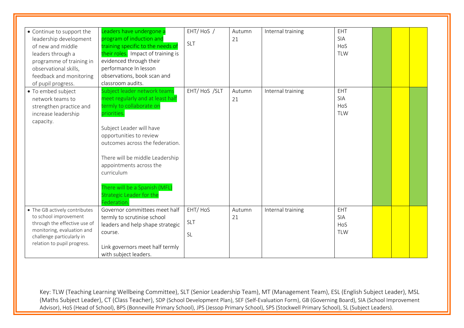| • Continue to support the<br>leadership development<br>of new and middle<br>leaders through a                                                                                    | eaders have undergone a<br>program of induction and<br>training specific to the needs of<br>their roles. Impact of training is                                                                                                                                                                                                                               | EHT/HoS /<br><b>SLT</b>            | Autumn<br>21 | Internal training | EHT<br>SIA<br>HoS<br><b>TLW</b> |  |  |
|----------------------------------------------------------------------------------------------------------------------------------------------------------------------------------|--------------------------------------------------------------------------------------------------------------------------------------------------------------------------------------------------------------------------------------------------------------------------------------------------------------------------------------------------------------|------------------------------------|--------------|-------------------|---------------------------------|--|--|
| programme of training in<br>observational skills,<br>feedback and monitoring<br>of pupil progress.                                                                               | evidenced through their<br>performance In lesson<br>observations, book scan and<br>classroom audits.                                                                                                                                                                                                                                                         |                                    |              |                   |                                 |  |  |
| • To embed subject<br>network teams to<br>strengthen practice and<br>increase leadership<br>capacity.                                                                            | Subject leader network teams<br>meet regularly and at least half<br>termly to collaborate on<br>priorities.<br>Subject Leader will have<br>opportunities to review<br>outcomes across the federation.<br>There will be middle Leadership<br>appointments across the<br>curriculum<br>There will be a Spanish (MFL)<br>Strategic Leader for the<br>Federation | EHT/HoS /SLT                       | Autumn<br>21 | Internal training | EHT<br>SIA<br>HoS<br><b>TLW</b> |  |  |
| • The GB actively contributes<br>to school improvement<br>through the effective use of<br>monitoring, evaluation and<br>challenge particularly in<br>relation to pupil progress. | Governor committees meet half<br>termly to scrutinise school<br>leaders and help shape strategic<br>course.<br>Link governors meet half termly<br>with subject leaders.                                                                                                                                                                                      | EHT/HoS<br><b>SLT</b><br><b>SL</b> | Autumn<br>21 | Internal training | EHT<br>SIA<br>HoS<br><b>TLW</b> |  |  |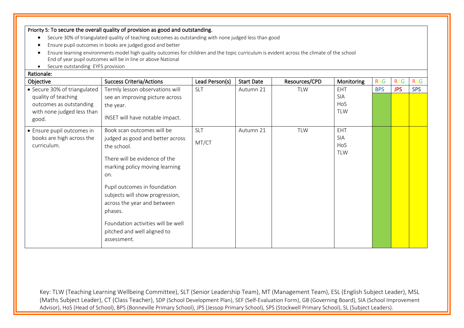### Priority 5: To secure the overall quality of provision as good and outstanding.

- Secure 30% of triangulated quality of teaching outcomes as outstanding with none judged less than good
- Ensure pupil outcomes in books are judged good and better
- Ensure learning environments model high quality outcomes for children and the topic curriculum is evident across the climate of the school End of year pupil outcomes will be in line or above National
- Secure outstanding EYFS provision

### Rationale:

| Objective                                                                                                             | <b>Success Criteria/Actions</b>                                                                                                                                                                                                                                                                                                                          | Lead Person(s)      | <b>Start Date</b> | Resources/CPD | Monitoring                                    | <b>RAG</b> | <b>RAG</b> | <b>RAG</b> |
|-----------------------------------------------------------------------------------------------------------------------|----------------------------------------------------------------------------------------------------------------------------------------------------------------------------------------------------------------------------------------------------------------------------------------------------------------------------------------------------------|---------------------|-------------------|---------------|-----------------------------------------------|------------|------------|------------|
| • Secure 30% of triangulated<br>quality of teaching<br>outcomes as outstanding<br>with none judged less than<br>good. | Termly lesson observations will<br>see an improving picture across<br>the year.<br>INSET will have notable impact.                                                                                                                                                                                                                                       | <b>SLT</b>          | Autumn 21         | <b>TLW</b>    | <b>EHT</b><br><b>SIA</b><br>HoS<br><b>TLW</b> | <b>BPS</b> | <b>JPS</b> | <b>SPS</b> |
| • Ensure pupil outcomes in<br>books are high across the<br>curriculum.                                                | Book scan outcomes will be<br>judged as good and better across<br>the school.<br>There will be evidence of the<br>marking policy moving learning<br>on.<br>Pupil outcomes in foundation<br>subjects will show progression,<br>across the year and between<br>phases.<br>Foundation activities will be well<br>pitched and well aligned to<br>assessment. | <b>SLT</b><br>MT/CT | Autumn 21         | <b>TLW</b>    | EHT<br><b>SIA</b><br>HoS<br><b>TLW</b>        |            |            |            |